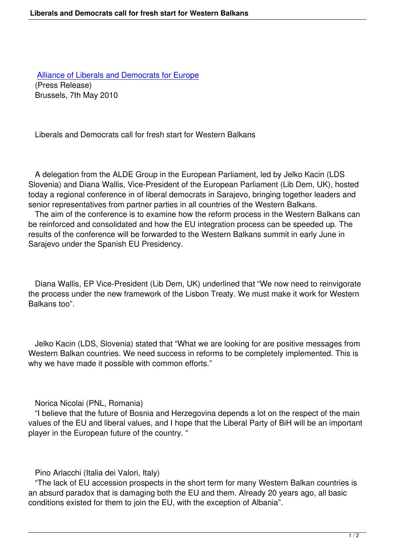Alliance of Liberals and Democrats for Europe (Press Release) Brussels, 7th May 2010

Liberals and Democrats call for fresh start for Western Balkans

 A delegation from the ALDE Group in the European Parliament, led by Jelko Kacin (LDS Slovenia) and Diana Wallis, Vice-President of the European Parliament (Lib Dem, UK), hosted today a regional conference in of liberal democrats in Sarajevo, bringing together leaders and senior representatives from partner parties in all countries of the Western Balkans.

 The aim of the conference is to examine how the reform process in the Western Balkans can be reinforced and consolidated and how the EU integration process can be speeded up. The results of the conference will be forwarded to the Western Balkans summit in early June in Sarajevo under the Spanish EU Presidency.

 Diana Wallis, EP Vice-President (Lib Dem, UK) underlined that "We now need to reinvigorate the process under the new framework of the Lisbon Treaty. We must make it work for Western Balkans too".

 Jelko Kacin (LDS, Slovenia) stated that "What we are looking for are positive messages from Western Balkan countries. We need success in reforms to be completely implemented. This is why we have made it possible with common efforts."

Norica Nicolai (PNL, Romania)

 "I believe that the future of Bosnia and Herzegovina depends a lot on the respect of the main values of the EU and liberal values, and I hope that the Liberal Party of BiH will be an important player in the European future of the country. "

Pino Arlacchi (Italia dei Valori, Italy)

 "The lack of EU accession prospects in the short term for many Western Balkan countries is an absurd paradox that is damaging both the EU and them. Already 20 years ago, all basic conditions existed for them to join the EU, with the exception of Albania".